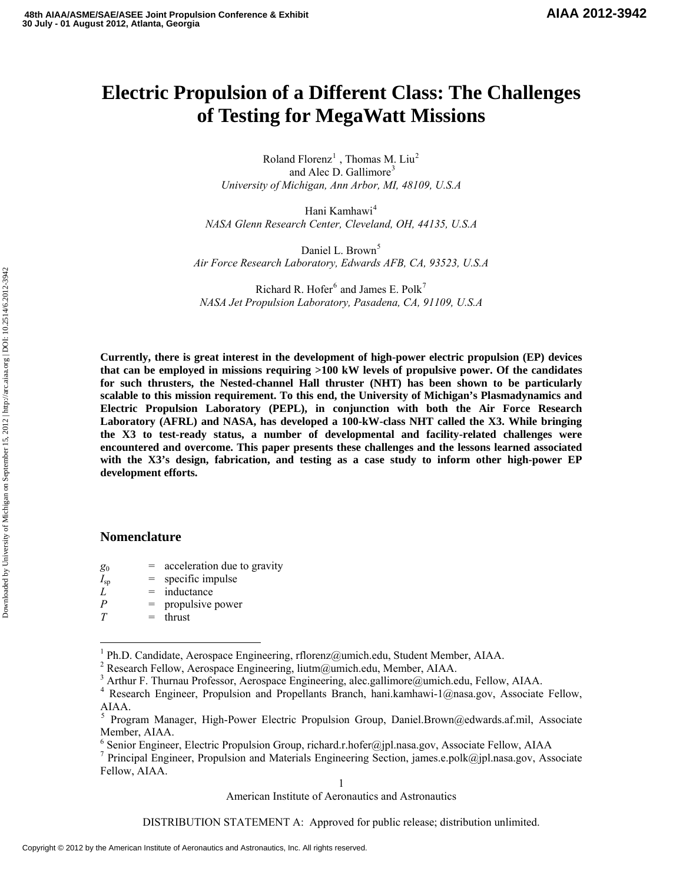# **Electric Propulsion of a Different Class: The Challenges of Testing for MegaWatt Missions**

Roland Florenz<sup>[1](#page-0-0)</sup>, Thomas M. Liu<sup>[2](#page-0-1)</sup> and Alec D. Gallimore<sup>[3](#page-0-2)</sup> *University of Michigan, Ann Arbor, MI, 48109, U.S.A* 

Hani Kamhawi<sup>[4](#page-0-3)</sup> *NASA Glenn Research Center, Cleveland, OH, 44135, U.S.A* 

Daniel L. Brown<sup>[5](#page-0-4)</sup> *Air Force Research Laboratory, Edwards AFB, CA, 93523, U.S.A* 

Richard R. Hofer $^6$  $^6$  and James E. Polk<sup>[7](#page-0-6)</sup> *NASA Jet Propulsion Laboratory, Pasadena, CA, 91109, U.S.A* 

**Currently, there is great interest in the development of high-power electric propulsion (EP) devices that can be employed in missions requiring >100 kW levels of propulsive power. Of the candidates for such thrusters, the Nested-channel Hall thruster (NHT) has been shown to be particularly scalable to this mission requirement. To this end, the University of Michigan's Plasmadynamics and Electric Propulsion Laboratory (PEPL), in conjunction with both the Air Force Research Laboratory (AFRL) and NASA, has developed a 100-kW-class NHT called the X3. While bringing the X3 to test-ready status, a number of developmental and facility-related challenges were encountered and overcome. This paper presents these challenges and the lessons learned associated with the X3's design, fabrication, and testing as a case study to inform other high-power EP development efforts.** 

## **Nomenclature**

- $g_0$  = acceleration due to gravity
- $I_{\rm sp}$  = specific impulse
- $L = \text{inductance}$
- *P* = propulsive power
- $T =$ thrust

 $\overline{a}$ 

American Institute of Aeronautics and Astronautics

<span id="page-0-0"></span><sup>&</sup>lt;sup>1</sup> Ph.D. Candidate, Aerospace Engineering, rflorenz@umich.edu, Student Member, AIAA.

<span id="page-0-1"></span><sup>&</sup>lt;sup>2</sup> Research Fellow, Aerospace Engineering, liutm@umich.edu, Member, AIAA.

<span id="page-0-2"></span><sup>&</sup>lt;sup>3</sup> Arthur F. Thurnau Professor, Aerospace Engineering, alec.gallimore@umich.edu, Fellow, AIAA.

<span id="page-0-3"></span><sup>&</sup>lt;sup>4</sup> Research Engineer, Propulsion and Propellants Branch, hani.kamhawi-1@nasa.gov, Associate Fellow, AIAA.

<span id="page-0-4"></span><sup>5</sup> Program Manager, High-Power Electric Propulsion Group, Daniel.Brown@edwards.af.mil, Associate Member, AIAA.

<sup>&</sup>lt;sup>6</sup> Senior Engineer, Electric Propulsion Group, richard.r.hofer@jpl.nasa.gov, Associate Fellow, AIAA

<span id="page-0-6"></span><span id="page-0-5"></span><sup>&</sup>lt;sup>7</sup> Principal Engineer, Propulsion and Materials Engineering Section, james.e.polk@jpl.nasa.gov, Associate Fellow, AIAA.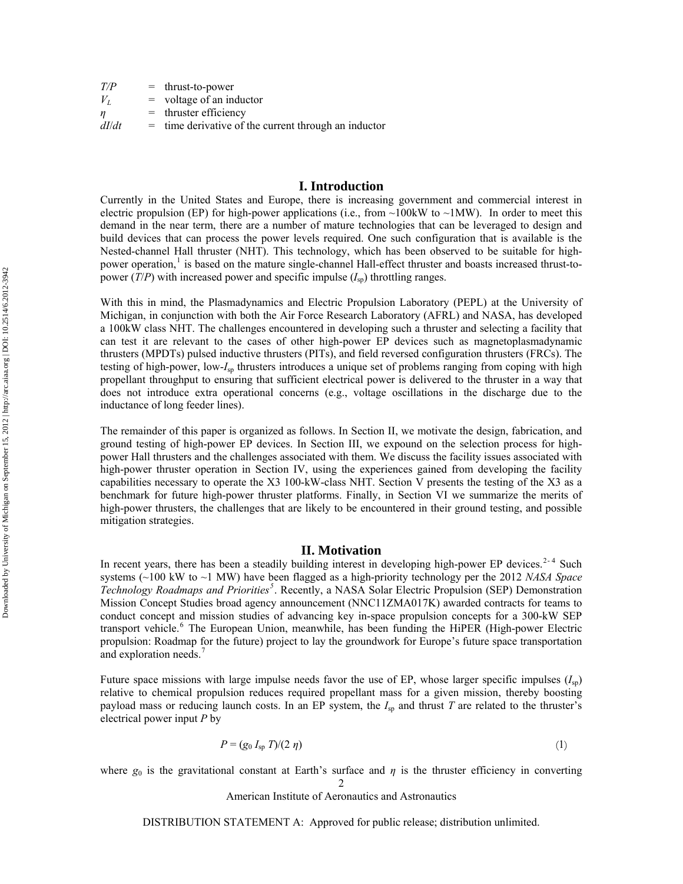| T/P   | $=$ thrust-to-power                                    |
|-------|--------------------------------------------------------|
| $V_L$ | $=$ voltage of an inductor                             |
| n     | $=$ thruster efficiency                                |
| dI/dt | $=$ time derivative of the current through an inductor |

## **I. Introduction**

Currently in the United States and Europe, there is increasing government and commercial interest in electric propulsion (EP) for high-power applications (i.e., from  $\sim$ 100kW to  $\sim$ 1MW). In order to meet this demand in the near term, there are a number of mature technologies that can be leveraged to design and build devices that can process the power levels required. One such configuration that is available is the Nested-channel Hall thruster (NHT). This technology, which has been observed to be suitable for high-power operation,<sup>[1](#page-12-0)</sup> is based on the mature single-channel Hall-effect thruster and boasts increased thrust-topower  $(T/P)$  with increased power and specific impulse  $(I_{\rm SD})$  throttling ranges.

With this in mind, the Plasmadynamics and Electric Propulsion Laboratory (PEPL) at the University of Michigan, in conjunction with both the Air Force Research Laboratory (AFRL) and NASA, has developed a 100kW class NHT. The challenges encountered in developing such a thruster and selecting a facility that can test it are relevant to the cases of other high-power EP devices such as magnetoplasmadynamic thrusters (MPDTs) pulsed inductive thrusters (PITs), and field reversed configuration thrusters (FRCs). The testing of high-power, low-*I*sp thrusters introduces a unique set of problems ranging from coping with high propellant throughput to ensuring that sufficient electrical power is delivered to the thruster in a way that does not introduce extra operational concerns (e.g., voltage oscillations in the discharge due to the inductance of long feeder lines).

The remainder of this paper is organized as follows. In Section II, we motivate the design, fabrication, and ground testing of high-power EP devices. In Section III, we expound on the selection process for highpower Hall thrusters and the challenges associated with them. We discuss the facility issues associated with high-power thruster operation in Section IV, using the experiences gained from developing the facility capabilities necessary to operate the X3 100-kW-class NHT. Section V presents the testing of the X3 as a benchmark for future high-power thruster platforms. Finally, in Section VI we summarize the merits of high-power thrusters, the challenges that are likely to be encountered in their ground testing, and possible mitigation strategies.

#### **II. Motivation**

<span id="page-1-0"></span>In recent years, there has been a steadily building interest in developing high-power EP devices.<sup>[2](#page-12-1)-[4](#page-12-1)</sup> Such systems (~100 kW to ~1 MW) have been flagged as a high-priority technology per the 2012 *NASA Space Technology Roadmaps and Priorities[5](#page-12-1)* . Recently, a NASA Solar Electric Propulsion (SEP) Demonstration Mission Concept Studies broad agency announcement (NNC11ZMA017K) awarded contracts for teams to conduct concept and mission studies of advancing key in-space propulsion concepts for a 300-kW SEP transport vehicle.<sup>[6](#page-12-1)</sup> The European Union, meanwhile, has been funding the HiPER (High-power Electric propulsion: Roadmap for the future) project to lay the groundwork for Europe's future space transportation and exploration needs.<sup>[7](#page-12-1)</sup>

Future space missions with large impulse needs favor the use of EP, whose larger specific impulses  $(I_{\rm sn})$ relative to chemical propulsion reduces required propellant mass for a given mission, thereby boosting payload mass or reducing launch costs. In an EP system, the  $I<sub>sp</sub>$  and thrust *T* are related to the thruster's electrical power input *P* by

$$
P = (g_0 I_{sp} T)/(2 \eta) \tag{1}
$$

where  $g_0$  is the gravitational constant at Earth's surface and  $\eta$  is the thruster efficiency in converting

2

American Institute of Aeronautics and Astronautics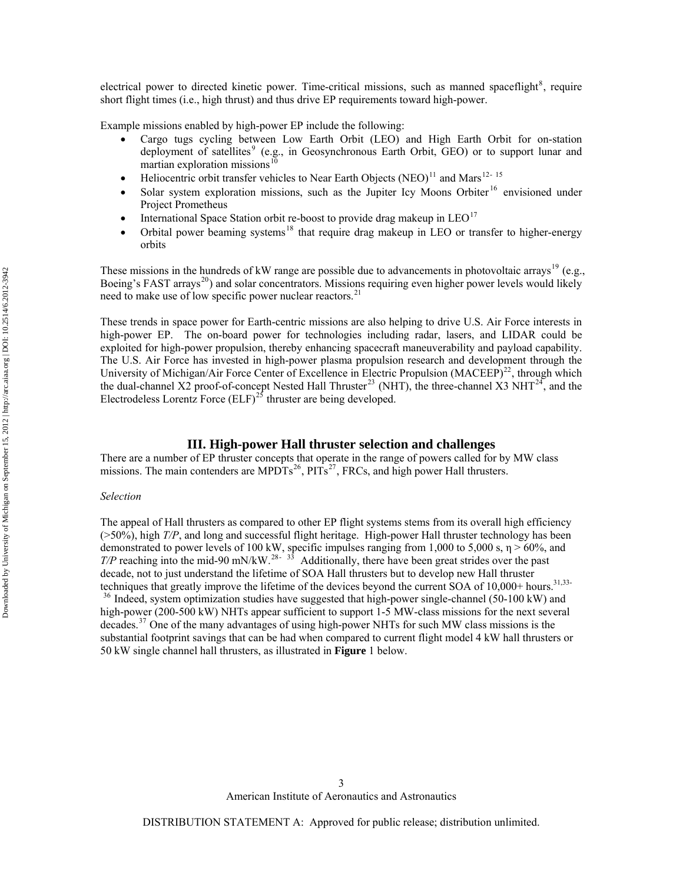electrical power to directed kinetic power. Time-critical missions, such as manned spaceflight<sup>[8](#page-12-1)</sup>, require short flight times (i.e., high thrust) and thus drive EP requirements toward high-power.

Example missions enabled by high-power EP include the following:

- Cargo tugs cycling between Low Earth Orbit (LEO) and High Earth Orbit for on-station deployment of satellites<sup>[9](#page-12-1)</sup> (e.g., in Geosynchronous Earth Orbit, GEO) or to support lunar and martian exploration missions<sup>[10](#page-12-1)</sup>
- Heliocentric orbit transfer vehicles to Near Earth Objects (NEO)<sup>[11](#page-12-1)</sup> and Mars<sup>[12](#page-12-1)-[15](#page-12-1)</sup>
- Solar system exploration missions, such as the Jupiter Icy Moons Orbiter<sup>[16](#page-12-1)</sup> envisioned under Project Prometheus
- International Space Station orbit re-boost to provide drag makeup in  $LEO<sup>17</sup>$  $LEO<sup>17</sup>$  $LEO<sup>17</sup>$
- Orbital power beaming systems<sup>[18](#page-12-1)</sup> that require drag makeup in LEO or transfer to higher-energy orbits

These missions in the hundreds of kW range are possible due to advancements in photovoltaic arrays<sup>[19](#page-12-1)</sup> (e.g., Boeing's FAST arrays<sup>[20](#page-12-1)</sup>) and solar concentrators. Missions requiring even higher power levels would likely need to make use of low specific power nuclear reactors.<sup>2</sup>

These trends in space power for Earth-centric missions are also helping to drive U.S. Air Force interests in high-power EP. The on-board power for technologies including radar, lasers, and LIDAR could be exploited for high-power propulsion, thereby enhancing spacecraft maneuverability and payload capability. The U.S. Air Force has invested in high-power plasma propulsion research and development through the University of Michigan/Air Force Center of Excellence in Electric Propulsion (MACEEP)<sup>[22](#page-12-1)</sup>, through which the dual-channel X2 proof-of-concept Nested Hall Thruster<sup>[23](#page-12-1)</sup> (NHT), the three-channel X3 NHT<sup>[24](#page-12-1)</sup>, and the Electrodeless Lorentz Force  $(ELF)^{25}$  $(ELF)^{25}$  $(ELF)^{25}$  thruster are being developed.

#### **III. High-power Hall thruster selection and challenges**

There are a number of EP thruster concepts that operate in the range of powers called for by MW class missions. The main contenders are MPDTs<sup>[26](#page-12-1)</sup>, PITs<sup>[27](#page-12-1)</sup>, FRCs, and high power Hall thrusters.

#### *Selection*

<span id="page-2-0"></span>The appeal of Hall thrusters as compared to other EP flight systems stems from its overall high efficiency (>50%), high *T/P*, and long and successful flight heritage. High-power Hall thruster technology has been demonstrated to power levels of 100 kW, specific impulses ranging from 1,000 to 5,000 s,  $\eta$  > 60%, and *T/P* reaching into the mid-90 mN/kW.<sup>[28](#page-12-1)-[33](#page-12-1)</sup> Additionally, there have been great strides over the past decade, not to just understand the lifetime of SOA Hall thrusters but to develop new Hall thruster techniques that greatly improve the lifetime of the devices beyond the current SOA of 10,000+ hours.<sup>31,33-</sup>

<sup>[36](#page-12-1)</sup> Indeed, system optimization studies have suggested that high-power single-channel (50-100 kW) and high-power (200-500 kW) NHTs appear sufficient to support 1-5 MW-class missions for the next several decades.<sup>[37](#page-12-1)</sup> One of the many advantages of using high-power NHTs for such MW class missions is the substantial footprint savings that can be had when compared to current flight model 4 kW hall thrusters or 50 kW single channel hall thrusters, as illustrated in **[Figure](#page-3-0)** 1 below.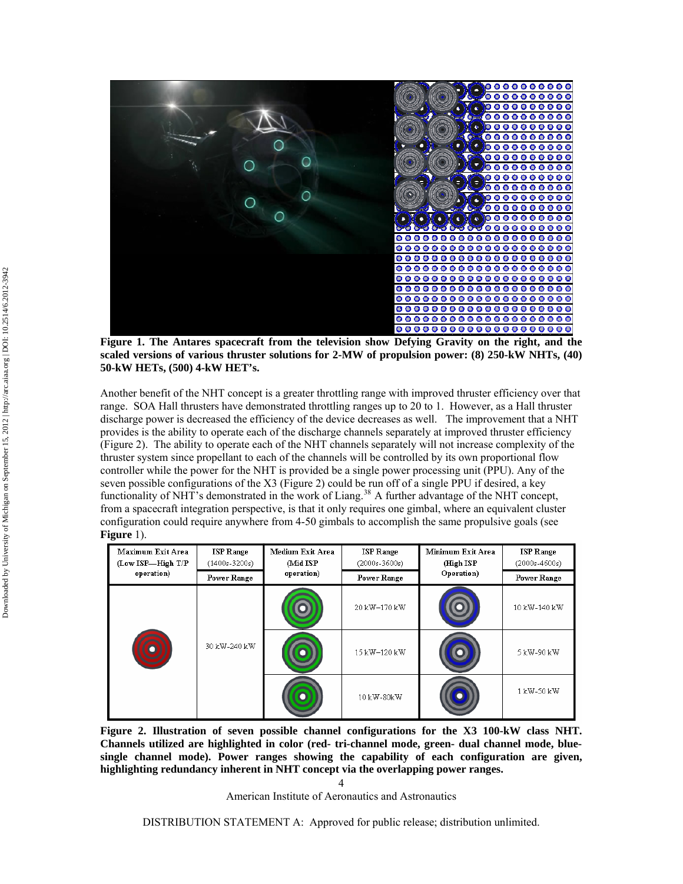

**Figure 1. The Antares spacecraft from the television show Defying Gravity on the right, and the scaled versions of various thruster solutions for 2-MW of propulsion power: (8) 250-kW NHTs, (40) 50-kW HETs, (500) 4-kW HET's.** 

<span id="page-3-0"></span>Another benefit of the NHT concept is a greater throttling range with improved thruster efficiency over that range. SOA Hall thrusters have demonstrated throttling ranges up to 20 to 1. However, as a Hall thruster discharge power is decreased the efficiency of the device decreases as well. The improvement that a NHT provides is the ability to operate each of the discharge channels separately at improved thruster efficiency [\(Figure 2\)](#page-3-1). The ability to operate each of the NHT channels separately will not increase complexity of the thruster system since propellant to each of the channels will be controlled by its own proportional flow controller while the power for the NHT is provided be a single power processing unit (PPU). Any of the seven possible configurations of the X3 [\(Figure 2](#page-3-1)) could be run off of a single PPU if desired, a key functionality of NHT's demonstrated in the work of Liang.<sup>[38](#page-12-1)</sup> A further advantage of the NHT concept, from a spacecraft integration perspective, is that it only requires one gimbal, where an equivalent cluster configuration could require anywhere from 4-50 gimbals to accomplish the same propulsive goals (see **[Figure](#page-3-0)** 1).

| Maximum Exit Area<br>(Low ISP—High T/P | <b>ISP Range</b><br>$(1400s - 3200s)$ | Medium Exit Area<br>(Mid ISP | <b>ISP Range</b><br>$(2000s - 3600s)$ | Minimum Exit Area<br>(High ISP) | <b>ISP Range</b><br>$(2000s - 4600s)$ |
|----------------------------------------|---------------------------------------|------------------------------|---------------------------------------|---------------------------------|---------------------------------------|
| operation)                             | <b>Power Range</b>                    | operation)                   | <b>Power Range</b>                    | Operation)                      | <b>Power Range</b>                    |
|                                        | 30 kW-240 kW                          |                              | 20 kW-170 kW                          |                                 | 10 kW-140 kW                          |
|                                        |                                       |                              | 15 kW-120 kW                          |                                 | 5 kW-90 kW                            |
|                                        |                                       |                              | 10 kW-80kW                            |                                 | 1 kW-50 kW                            |

<span id="page-3-1"></span>**Figure 2. Illustration of seven possible channel configurations for the X3 100-kW class NHT. Channels utilized are highlighted in color (red- tri-channel mode, green- dual channel mode, bluesingle channel mode). Power ranges showing the capability of each configuration are given, highlighting redundancy inherent in NHT concept via the overlapping power ranges.** 

> $\Delta$ American Institute of Aeronautics and Astronautics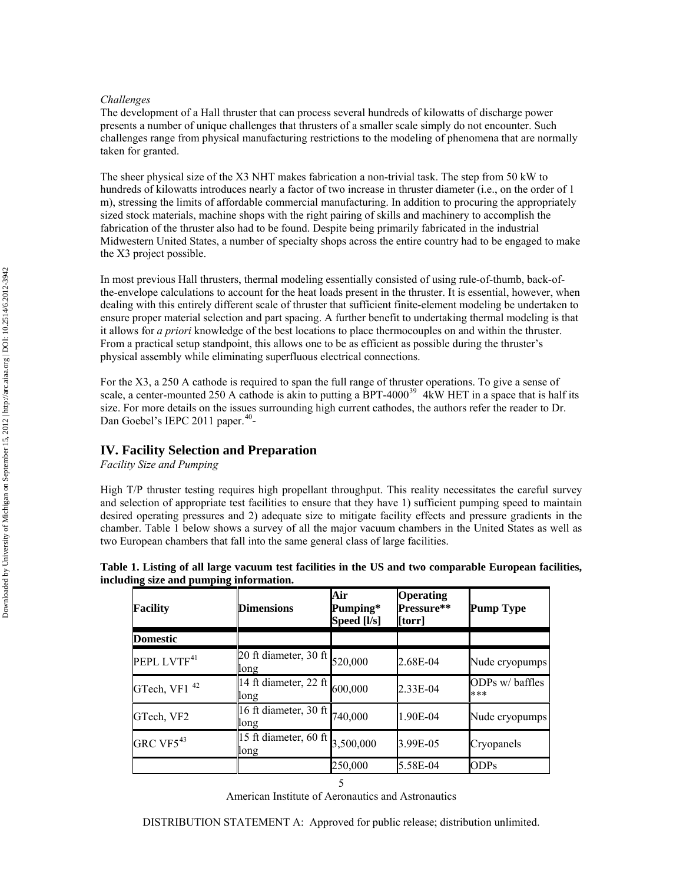## *Challenges*

The development of a Hall thruster that can process several hundreds of kilowatts of discharge power presents a number of unique challenges that thrusters of a smaller scale simply do not encounter. Such challenges range from physical manufacturing restrictions to the modeling of phenomena that are normally taken for granted.

The sheer physical size of the X3 NHT makes fabrication a non-trivial task. The step from 50 kW to hundreds of kilowatts introduces nearly a factor of two increase in thruster diameter (i.e., on the order of 1 m), stressing the limits of affordable commercial manufacturing. In addition to procuring the appropriately sized stock materials, machine shops with the right pairing of skills and machinery to accomplish the fabrication of the thruster also had to be found. Despite being primarily fabricated in the industrial Midwestern United States, a number of specialty shops across the entire country had to be engaged to make the X3 project possible.

In most previous Hall thrusters, thermal modeling essentially consisted of using rule-of-thumb, back-ofthe-envelope calculations to account for the heat loads present in the thruster. It is essential, however, when dealing with this entirely different scale of thruster that sufficient finite-element modeling be undertaken to ensure proper material selection and part spacing. A further benefit to undertaking thermal modeling is that it allows for *a priori* knowledge of the best locations to place thermocouples on and within the thruster. From a practical setup standpoint, this allows one to be as efficient as possible during the thruster's physical assembly while eliminating superfluous electrical connections.

For the X3, a 250 A cathode is required to span the full range of thruster operations. To give a sense of scale, a center-mounted 250 A cathode is akin to putting a  $\overline{BPT-4000}^{39}$  $\overline{BPT-4000}^{39}$  $\overline{BPT-4000}^{39}$  4kW HET in a space that is half its size. For more details on the issues surrounding high current cathodes, the authors refer the reader to Dr. Dan Goebel's IEPC 2011 paper.<sup>[40](#page-12-1)</sup>

# **IV. Facility Selection and Preparation**

*Facility Size and Pumping* 

High T/P thruster testing requires high propellant throughput. This reality necessitates the careful survey and selection of appropriate test facilities to ensure that they have 1) sufficient pumping speed to maintain desired operating pressures and 2) adequate size to mitigate facility effects and pressure gradients in the chamber. [Table 1](#page-4-0) below shows a survey of all the major vacuum chambers in the United States as well as two European chambers that fall into the same general class of large facilities.

<span id="page-4-0"></span>

| Table 1. Listing of all large vacuum test facilities in the US and two comparable European facilities, |  |  |  |  |  |
|--------------------------------------------------------------------------------------------------------|--|--|--|--|--|
| including size and pumping information.                                                                |  |  |  |  |  |

| <b>Facility</b>          | <b>Dimensions</b>                                                     | Air<br>Pumping*<br>Speed [l/s] | <b>Operating</b><br>Pressure**<br>[torr] | <b>Pump Type</b>       |
|--------------------------|-----------------------------------------------------------------------|--------------------------------|------------------------------------------|------------------------|
| <b>Domestic</b>          |                                                                       |                                |                                          |                        |
| PEPL LVTF <sup>41</sup>  | 20 ft diameter, 30 ft $_{520,000}$<br>long                            |                                | 2.68E-04                                 | Nude cryopumps         |
| GTech, VF1 <sup>42</sup> | 14 ft diameter, 22 ft $\begin{bmatrix} 600,000 \end{bmatrix}$<br>long |                                | 2.33E-04                                 | ODPs w/ baffles<br>*** |
| GTech, VF2               | 16 ft diameter, 30 ft $740,000$<br>long                               |                                | 1.90E-04                                 | Nude cryopumps         |
| GRC VF $5^{43}$          | 15 ft diameter, 60 ft $3,500,000$<br>long                             |                                | 3.99E-05                                 | Cryopanels             |
|                          |                                                                       | 250,000                        | 5.58E-04                                 | ODPs                   |
|                          |                                                                       |                                |                                          |                        |

American Institute of Aeronautics and Astronautics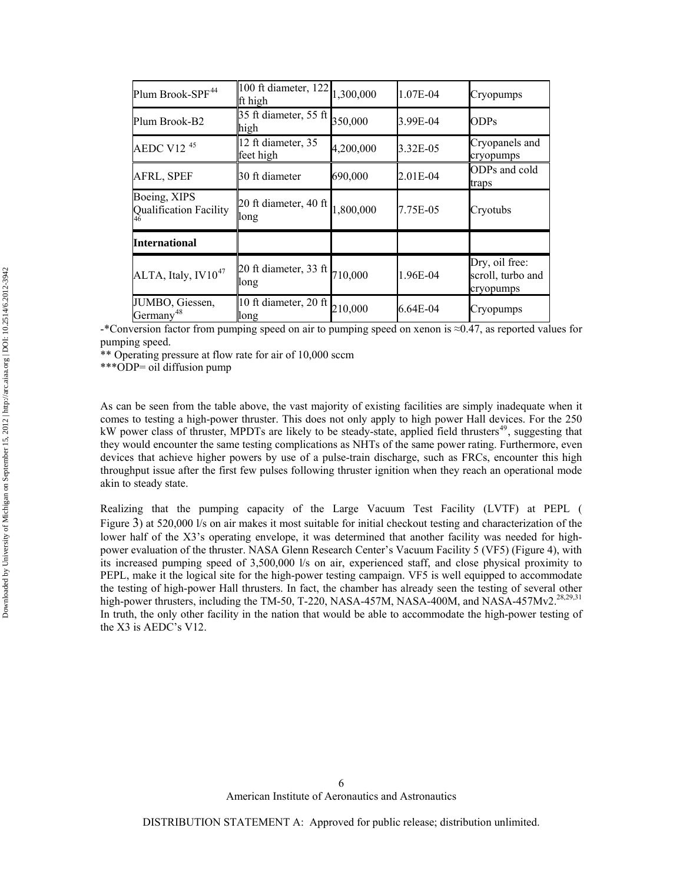| Plum Brook-SPF <sup>44</sup>             | 100 ft diameter, 122<br>ft high            | 1,300,000 | 1.07E-04 | Cryopumps                                        |
|------------------------------------------|--------------------------------------------|-----------|----------|--------------------------------------------------|
| Plum Brook-B2                            | 35 ft diameter, 55 ft<br>high              | 350,000   | 3.99E-04 | <b>ODPs</b>                                      |
| AEDC V12 $45$                            | 12 ft diameter, 35<br>feet high            | 4,200,000 | 3.32E-05 | Cryopanels and<br>cryopumps                      |
| AFRL, SPEF                               | 30 ft diameter                             | 690,000   | 2.01E-04 | ODPs and cold<br>traps                           |
| Boeing, XIPS<br>Qualification Facility   | 20 ft diameter, 40 ft<br>long              | 1,800,000 | 7.75E-05 | Cryotubs                                         |
| <b>International</b>                     |                                            |           |          |                                                  |
| ALTA, Italy, $IV10^{47}$                 | 20 ft diameter, 33 ft $_{710,000}$<br>long |           | 1.96E-04 | Dry, oil free:<br>scroll, turbo and<br>cryopumps |
| JUMBO, Giessen,<br>Germany <sup>48</sup> | 10 ft diameter, 20 ft<br>long              | 210,000   | 6.64E-04 | Cryopumps                                        |

-\*Conversion factor from pumping speed on air to pumping speed on xenon is ≈0.47, as reported values for pumping speed.

\*\* Operating pressure at flow rate for air of 10,000 sccm

\*\*\*ODP= oil diffusion pump

As can be seen from the table above, the vast majority of existing facilities are simply inadequate when it comes to testing a high-power thruster. This does not only apply to high power Hall devices. For the 250 kW power class of thruster, MPDTs are likely to be steady-state, applied field thrusters<sup>[49](#page-12-1)</sup>, suggesting that they would encounter the same testing complications as NHTs of the same power rating. Furthermore, even devices that achieve higher powers by use of a pulse-train discharge, such as FRCs, encounter this high throughput issue after the first few pulses following thruster ignition when they reach an operational mode akin to steady state.

Realizing that the pumping capacity of the Large Vacuum Test Facility (LVTF) at PEPL ( [Figure 3\)](#page-6-0) at 520,000 l/s on air makes it most suitable for initial checkout testing and characterization of the lower half of the X3's operating envelope, it was determined that another facility was needed for highpower evaluation of the thruster. NASA Glenn Research Center's Vacuum Facility 5 (VF5) [\(Figure 4\)](#page-6-1), with its increased pumping speed of 3,500,000 l/s on air, experienced staff, and close physical proximity to PEPL, make it the logical site for the high-power testing campaign. VF5 is well equipped to accommodate the testing of high-power Hall thrusters. In fact, the chamber has already seen the testing of several other high-power thrusters, including the TM-50, T-220, NASA-457M, NASA-400M, and NASA-457Mv2.<sup>28,29,31</sup> In truth, the only other facility in the nation that would be able to accommodate the high-power testing of the X3 is AEDC's V12.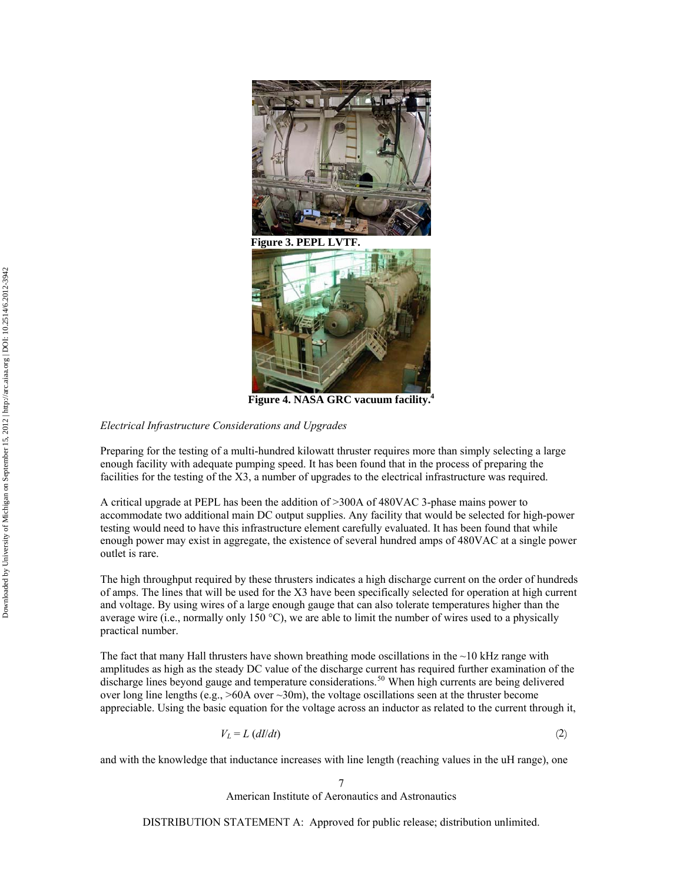

 **Figure 3. PEPL LVTF.**

**Figure 4. NASA GRC vacuum facility[.4](#page-1-0)** 

#### <span id="page-6-1"></span><span id="page-6-0"></span>*Electrical Infrastructure Considerations and Upgrades*

Preparing for the testing of a multi-hundred kilowatt thruster requires more than simply selecting a large enough facility with adequate pumping speed. It has been found that in the process of preparing the facilities for the testing of the X3, a number of upgrades to the electrical infrastructure was required.

A critical upgrade at PEPL has been the addition of >300A of 480VAC 3-phase mains power to accommodate two additional main DC output supplies. Any facility that would be selected for high-power testing would need to have this infrastructure element carefully evaluated. It has been found that while enough power may exist in aggregate, the existence of several hundred amps of 480VAC at a single power outlet is rare.

The high throughput required by these thrusters indicates a high discharge current on the order of hundreds of amps. The lines that will be used for the X3 have been specifically selected for operation at high current and voltage. By using wires of a large enough gauge that can also tolerate temperatures higher than the average wire (i.e., normally only 150  $^{\circ}$ C), we are able to limit the number of wires used to a physically practical number.

The fact that many Hall thrusters have shown breathing mode oscillations in the  $\sim$ 10 kHz range with amplitudes as high as the steady DC value of the discharge current has required further examination of the discharge lines beyond gauge and temperature considerations.<sup>[50](#page-12-1)</sup> When high currents are being delivered over long line lengths (e.g., >60A over ~30m), the voltage oscillations seen at the thruster become appreciable. Using the basic equation for the voltage across an inductor as related to the current through it,

$$
V_L = L \left( \frac{dI}{dt} \right) \tag{2}
$$

and with the knowledge that inductance increases with line length (reaching values in the uH range), one

7 American Institute of Aeronautics and Astronautics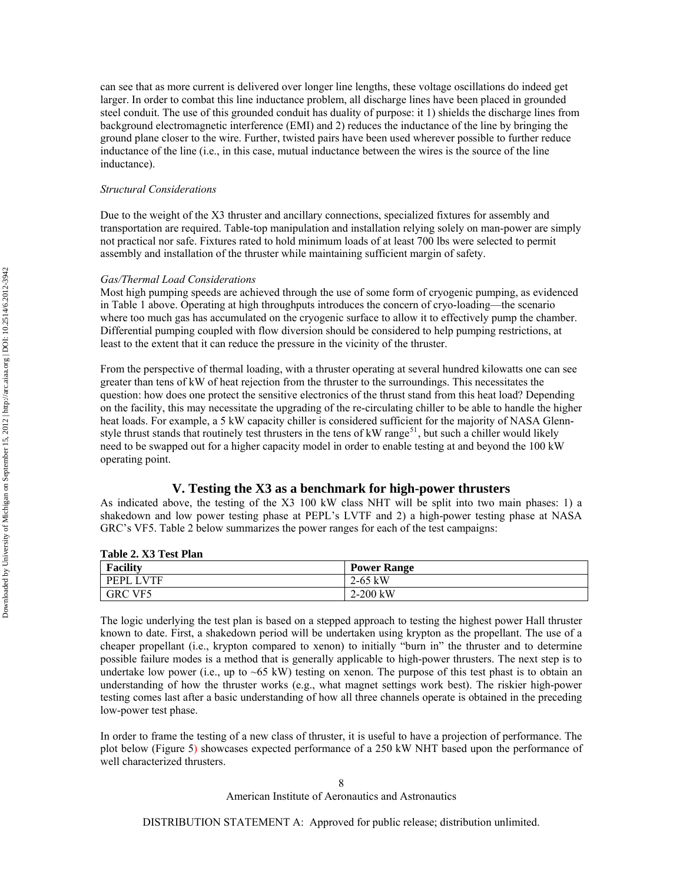can see that as more current is delivered over longer line lengths, these voltage oscillations do indeed get larger. In order to combat this line inductance problem, all discharge lines have been placed in grounded steel conduit. The use of this grounded conduit has duality of purpose: it 1) shields the discharge lines from background electromagnetic interference (EMI) and 2) reduces the inductance of the line by bringing the ground plane closer to the wire. Further, twisted pairs have been used wherever possible to further reduce inductance of the line (i.e., in this case, mutual inductance between the wires is the source of the line inductance).

## *Structural Considerations*

Due to the weight of the X3 thruster and ancillary connections, specialized fixtures for assembly and transportation are required. Table-top manipulation and installation relying solely on man-power are simply not practical nor safe. Fixtures rated to hold minimum loads of at least 700 lbs were selected to permit assembly and installation of the thruster while maintaining sufficient margin of safety.

#### *Gas/Thermal Load Considerations*

Most high pumping speeds are achieved through the use of some form of cryogenic pumping, as evidenced in [Table 1](#page-4-0) above. Operating at high throughputs introduces the concern of cryo-loading—the scenario where too much gas has accumulated on the cryogenic surface to allow it to effectively pump the chamber. Differential pumping coupled with flow diversion should be considered to help pumping restrictions, at least to the extent that it can reduce the pressure in the vicinity of the thruster.

From the perspective of thermal loading, with a thruster operating at several hundred kilowatts one can see greater than tens of kW of heat rejection from the thruster to the surroundings. This necessitates the question: how does one protect the sensitive electronics of the thrust stand from this heat load? Depending on the facility, this may necessitate the upgrading of the re-circulating chiller to be able to handle the higher heat loads. For example, a 5 kW capacity chiller is considered sufficient for the majority of NASA Glenn-style thrust stands that routinely test thrusters in the tens of kW range<sup>[51](#page-12-1)</sup>, but such a chiller would likely need to be swapped out for a higher capacity model in order to enable testing at and beyond the 100 kW operating point.

## **V. Testing the X3 as a benchmark for high-power thrusters**

As indicated above, the testing of the X3 100 kW class NHT will be split into two main phases: 1) a shakedown and low power testing phase at PEPL's LVTF and 2) a high-power testing phase at NASA GRC's VF5. [Table 2](#page-7-0) below summarizes the power ranges for each of the test campaigns:

<span id="page-7-0"></span>

#### **Table 2. X3 Test Plan**

The logic underlying the test plan is based on a stepped approach to testing the highest power Hall thruster known to date. First, a shakedown period will be undertaken using krypton as the propellant. The use of a cheaper propellant (i.e., krypton compared to xenon) to initially "burn in" the thruster and to determine possible failure modes is a method that is generally applicable to high-power thrusters. The next step is to undertake low power (i.e., up to  $\sim 65$  kW) testing on xenon. The purpose of this test phast is to obtain an understanding of how the thruster works (e.g., what magnet settings work best). The riskier high-power testing comes last after a basic understanding of how all three channels operate is obtained in the preceding low-power test phase.

In order to frame the testing of a new class of thruster, it is useful to have a projection of performance. The plot below ([Figure 5\)](#page-8-0) showcases expected performance of a 250 kW NHT based upon the performance of well characterized thrusters.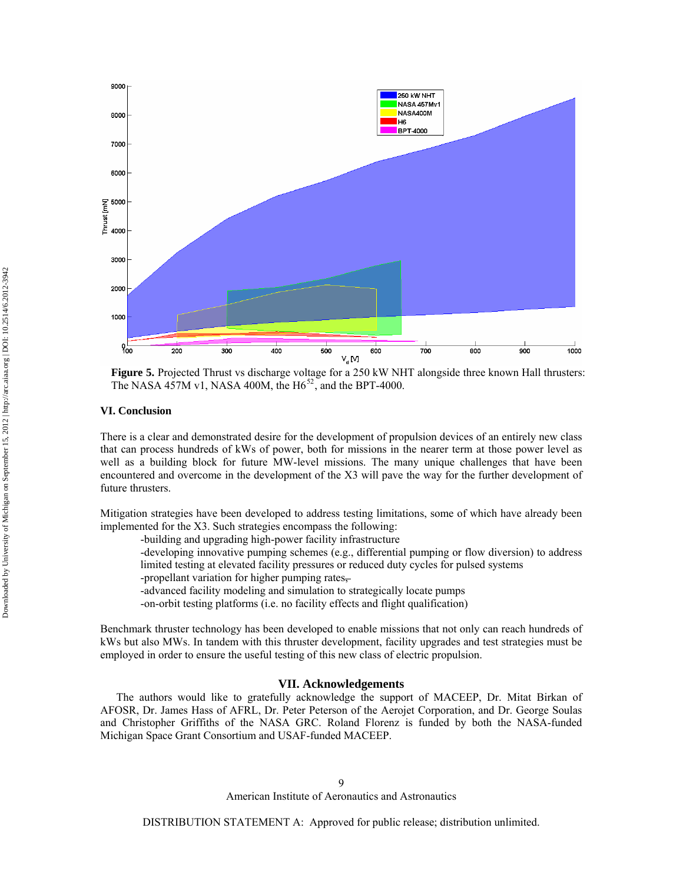

**Figure 5.** Projected Thrust vs discharge voltage for a 250 kW NHT alongside three known Hall thrusters: The NASA 457M v1, NASA 400M, the  $H6^{52}$  $H6^{52}$  $H6^{52}$ , and the BPT-4000.

## <span id="page-8-0"></span>**VI. Conclusion**

There is a clear and demonstrated desire for the development of propulsion devices of an entirely new class that can process hundreds of kWs of power, both for missions in the nearer term at those power level as well as a building block for future MW-level missions. The many unique challenges that have been encountered and overcome in the development of the X3 will pave the way for the further development of future thrusters.

Mitigation strategies have been developed to address testing limitations, some of which have already been implemented for the X3. Such strategies encompass the following:

-building and upgrading high-power facility infrastructure

-developing innovative pumping schemes (e.g., differential pumping or flow diversion) to address limited testing at elevated facility pressures or reduced duty cycles for pulsed systems

-propellant variation for higher pumping rates,

-advanced facility modeling and simulation to strategically locate pumps

-on-orbit testing platforms (i.e. no facility effects and flight qualification)

Benchmark thruster technology has been developed to enable missions that not only can reach hundreds of kWs but also MWs. In tandem with this thruster development, facility upgrades and test strategies must be employed in order to ensure the useful testing of this new class of electric propulsion.

#### **VII. Acknowledgements**

The authors would like to gratefully acknowledge the support of MACEEP, Dr. Mitat Birkan of AFOSR, Dr. James Hass of AFRL, Dr. Peter Peterson of the Aerojet Corporation, and Dr. George Soulas and Christopher Griffiths of the NASA GRC. Roland Florenz is funded by both the NASA-funded Michigan Space Grant Consortium and USAF-funded MACEEP.

American Institute of Aeronautics and Astronautics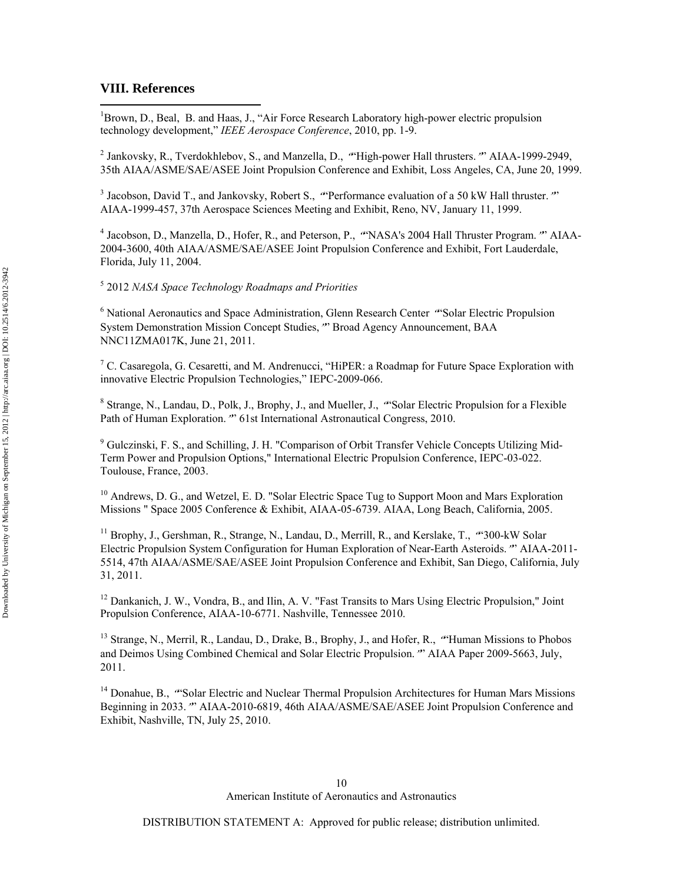## **VIII. References**

 $\overline{a}$ 

<sup>1</sup>Brown, D., Beal, B. and Haas, J., "Air Force Research Laboratory high-power electric propulsion technology development," *IEEE Aerospace Conference*, 2010, pp. 1-9.

<sup>2</sup> Jankovsky, R., Tverdokhlebov, S., and Manzella, D., "High-power Hall thrusters." AIAA-1999-2949, 35th AIAA/ASME/SAE/ASEE Joint Propulsion Conference and Exhibit, Loss Angeles, CA, June 20, 1999.

<sup>3</sup> Jacobson, David T., and Jankovsky, Robert S., "Performance evaluation of a 50 kW Hall thruster."" AIAA-1999-457, 37th Aerospace Sciences Meeting and Exhibit, Reno, NV, January 11, 1999.

<sup>4</sup> Jacobson, D., Manzella, D., Hofer, R., and Peterson, P., "NASA's 2004 Hall Thruster Program."" AIAA-2004-3600, 40th AIAA/ASME/SAE/ASEE Joint Propulsion Conference and Exhibit, Fort Lauderdale, Florida, July 11, 2004.

# 5 2012 *NASA Space Technology Roadmaps and Priorities*

<sup>6</sup> National Aeronautics and Space Administration, Glenn Research Center "Solar Electric Propulsion System Demonstration Mission Concept Studies,"" Broad Agency Announcement, BAA NNC11ZMA017K, June 21, 2011.

<sup>7</sup> C. Casaregola, G. Cesaretti, and M. Andrenucci, "HiPER: a Roadmap for Future Space Exploration with innovative Electric Propulsion Technologies," IEPC-2009-066.

<sup>8</sup> Strange, N., Landau, D., Polk, J., Brophy, J., and Mueller, J., "Solar Electric Propulsion for a Flexible Path of Human Exploration."" 61st International Astronautical Congress, 2010.

<sup>9</sup> Gulczinski, F. S., and Schilling, J. H. "Comparison of Orbit Transfer Vehicle Concepts Utilizing Mid-Term Power and Propulsion Options," International Electric Propulsion Conference, IEPC-03-022. Toulouse, France, 2003.

<sup>10</sup> Andrews, D. G., and Wetzel, E. D. "Solar Electric Space Tug to Support Moon and Mars Exploration Missions " Space 2005 Conference & Exhibit, AIAA-05-6739. AIAA, Long Beach, California, 2005.

<sup>11</sup> Brophy, J., Gershman, R., Strange, N., Landau, D., Merrill, R., and Kerslake, T., "300-kW Solar Electric Propulsion System Configuration for Human Exploration of Near-Earth Asteroids."" AIAA-2011- 5514, 47th AIAA/ASME/SAE/ASEE Joint Propulsion Conference and Exhibit, San Diego, California, July 31, 2011.

<sup>12</sup> Dankanich, J. W., Vondra, B., and Ilin, A. V. "Fast Transits to Mars Using Electric Propulsion," Joint Propulsion Conference, AIAA-10-6771. Nashville, Tennessee 2010.

<sup>13</sup> Strange, N., Merril, R., Landau, D., Drake, B., Brophy, J., and Hofer, R., "Human Missions to Phobos and Deimos Using Combined Chemical and Solar Electric Propulsion."" AIAA Paper 2009-5663, July, 2011.

<sup>14</sup> Donahue, B., "Solar Electric and Nuclear Thermal Propulsion Architectures for Human Mars Missions Beginning in 2033."" AIAA-2010-6819, 46th AIAA/ASME/SAE/ASEE Joint Propulsion Conference and Exhibit, Nashville, TN, July 25, 2010.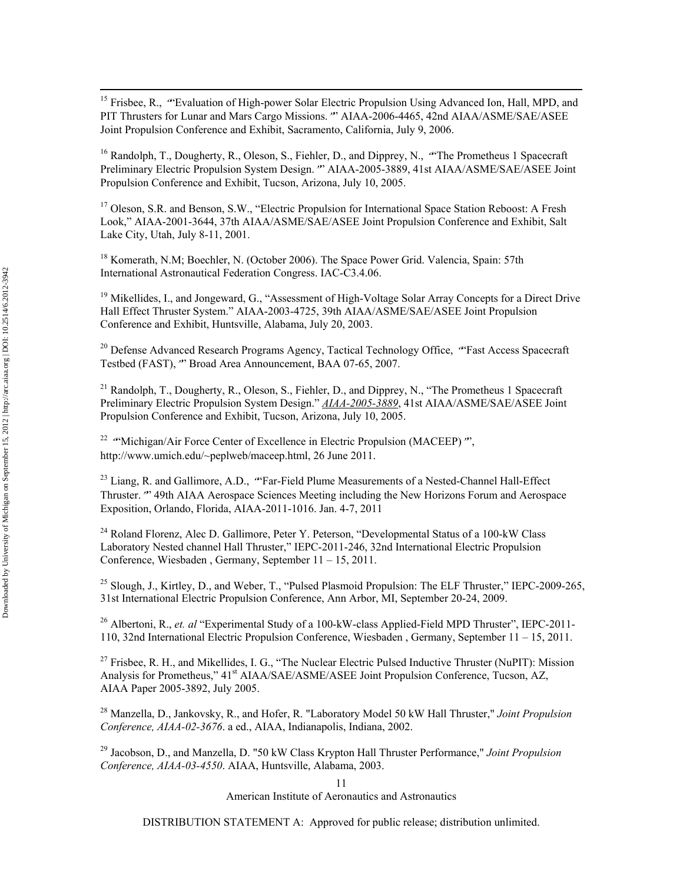<sup>15</sup> Frisbee, R., "Evaluation of High-power Solar Electric Propulsion Using Advanced Ion, Hall, MPD, and PIT Thrusters for Lunar and Mars Cargo Missions."" AIAA-2006-4465, 42nd AIAA/ASME/SAE/ASEE Joint Propulsion Conference and Exhibit, Sacramento, California, July 9, 2006.

<sup>16</sup> Randolph, T., Dougherty, R., Oleson, S., Fiehler, D., and Dipprey, N., "The Prometheus 1 Spacecraft Preliminary Electric Propulsion System Design."" AIAA-2005-3889, 41st AIAA/ASME/SAE/ASEE Joint Propulsion Conference and Exhibit, Tucson, Arizona, July 10, 2005.

<sup>17</sup> Oleson, S.R. and Benson, S.W., "Electric Propulsion for International Space Station Reboost: A Fresh Look," AIAA-2001-3644, 37th AIAA/ASME/SAE/ASEE Joint Propulsion Conference and Exhibit, Salt Lake City, Utah, July 8-11, 2001.

<sup>18</sup> Komerath, N.M; Boechler, N. (October 2006). The Space Power Grid. Valencia, Spain: 57th International Astronautical Federation Congress. IAC-C3.4.06.

<sup>19</sup> Mikellides, I., and Jongeward, G., "Assessment of High-Voltage Solar Array Concepts for a Direct Drive Hall Effect Thruster System." AIAA-2003-4725, 39th AIAA/ASME/SAE/ASEE Joint Propulsion Conference and Exhibit, Huntsville, Alabama, July 20, 2003.

<sup>20</sup> Defense Advanced Research Programs Agency, Tactical Technology Office, "Fast Access Spacecraft" Testbed (FAST),"" Broad Area Announcement, BAA 07-65, 2007.

<sup>21</sup> Randolph, T., Dougherty, R., Oleson, S., Fiehler, D., and Dipprey, N., "The Prometheus 1 Spacecraft Preliminary Electric Propulsion System Design." *AIAA-2005-3889*, 41st AIAA/ASME/SAE/ASEE Joint Propulsion Conference and Exhibit, Tucson, Arizona, July 10, 2005.

<sup>22</sup> "Michigan/Air Force Center of Excellence in Electric Propulsion (MACEEP)", http://www.umich.edu/~peplweb/maceep.html, 26 June 2011.

<sup>23</sup> Liang, R. and Gallimore, A.D., "Far-Field Plume Measurements of a Nested-Channel Hall-Effect Thruster."" 49th AIAA Aerospace Sciences Meeting including the New Horizons Forum and Aerospace Exposition, Orlando, Florida, AIAA-2011-1016. Jan. 4-7, 2011

<sup>24</sup> Roland Florenz, Alec D. Gallimore, Peter Y. Peterson, "Developmental Status of a 100-kW Class Laboratory Nested channel Hall Thruster," IEPC-2011-246, 32nd International Electric Propulsion Conference, Wiesbaden , Germany, September 11 – 15, 2011.

<sup>25</sup> Slough, J., Kirtley, D., and Weber, T., "Pulsed Plasmoid Propulsion: The ELF Thruster," IEPC-2009-265, 31st International Electric Propulsion Conference, Ann Arbor, MI, September 20-24, 2009.

<sup>26</sup> Albertoni, R., *et. al* "Experimental Study of a 100-kW-class Applied-Field MPD Thruster", IEPC-2011-110, 32nd International Electric Propulsion Conference, Wiesbaden , Germany, September 11 – 15, 2011.

 $^{27}$  Frisbee, R. H., and Mikellides, I. G., "The Nuclear Electric Pulsed Inductive Thruster (NuPIT): Mission Analysis for Prometheus," 41<sup>st</sup> AIAA/SAE/ASME/ASEE Joint Propulsion Conference, Tucson, AZ, AIAA Paper 2005-3892, July 2005.

28 Manzella, D., Jankovsky, R., and Hofer, R. "Laboratory Model 50 kW Hall Thruster," *Joint Propulsion Conference, AIAA-02-3676*. a ed., AIAA, Indianapolis, Indiana, 2002.

29 Jacobson, D., and Manzella, D. "50 kW Class Krypton Hall Thruster Performance," *Joint Propulsion Conference, AIAA-03-4550*. AIAA, Huntsville, Alabama, 2003.

11

American Institute of Aeronautics and Astronautics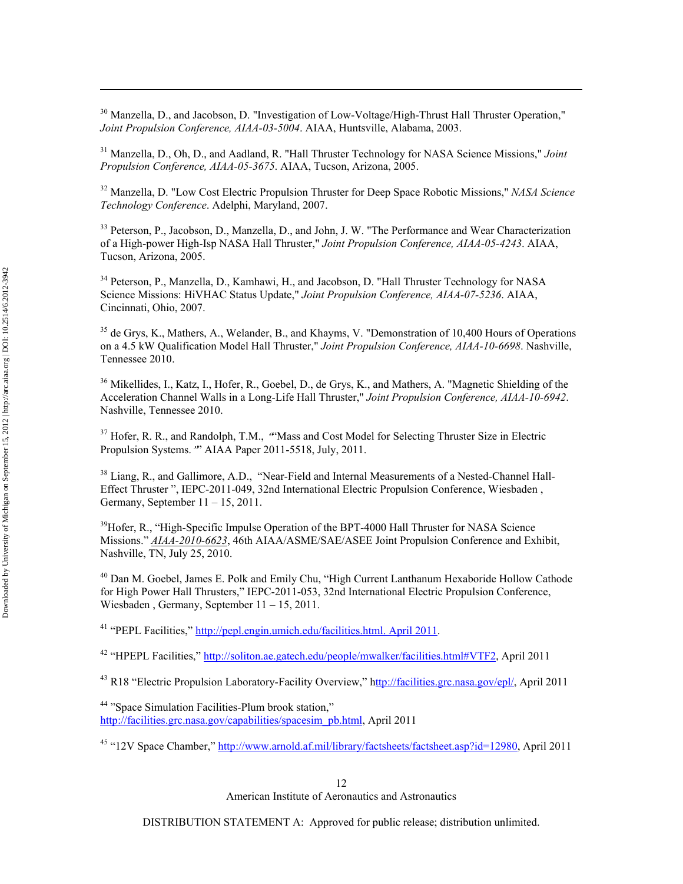<sup>30</sup> Manzella, D., and Jacobson, D. "Investigation of Low-Voltage/High-Thrust Hall Thruster Operation," *Joint Propulsion Conference, AIAA-03-5004*. AIAA, Huntsville, Alabama, 2003.

31 Manzella, D., Oh, D., and Aadland, R. "Hall Thruster Technology for NASA Science Missions," *Joint Propulsion Conference, AIAA-05-3675*. AIAA, Tucson, Arizona, 2005.

32 Manzella, D. "Low Cost Electric Propulsion Thruster for Deep Space Robotic Missions," *NASA Science Technology Conference*. Adelphi, Maryland, 2007.

<sup>33</sup> Peterson, P., Jacobson, D., Manzella, D., and John, J. W. "The Performance and Wear Characterization of a High-power High-Isp NASA Hall Thruster," *Joint Propulsion Conference, AIAA-05-4243*. AIAA, Tucson, Arizona, 2005.

<sup>34</sup> Peterson, P., Manzella, D., Kamhawi, H., and Jacobson, D. "Hall Thruster Technology for NASA Science Missions: HiVHAC Status Update," *Joint Propulsion Conference, AIAA-07-5236*. AIAA, Cincinnati, Ohio, 2007.

<sup>35</sup> de Grys, K., Mathers, A., Welander, B., and Khayms, V. "Demonstration of 10,400 Hours of Operations on a 4.5 kW Qualification Model Hall Thruster," *Joint Propulsion Conference, AIAA-10-6698*. Nashville, Tennessee 2010.

<sup>36</sup> Mikellides, I., Katz, I., Hofer, R., Goebel, D., de Grys, K., and Mathers, A. "Magnetic Shielding of the Acceleration Channel Walls in a Long-Life Hall Thruster," *Joint Propulsion Conference, AIAA-10-6942*. Nashville, Tennessee 2010.

<sup>37</sup> Hofer, R. R., and Randolph, T.M., "Mass and Cost Model for Selecting Thruster Size in Electric Propulsion Systems."" AIAA Paper 2011-5518, July, 2011.

<sup>38</sup> Liang, R., and Gallimore, A.D., "Near-Field and Internal Measurements of a Nested-Channel Hall-Effect Thruster ", IEPC-2011-049, 32nd International Electric Propulsion Conference, Wiesbaden , Germany, September  $11 - 15$ , 2011.

 $39H$ ofer, R., "High-Specific Impulse Operation of the BPT-4000 Hall Thruster for NASA Science Missions." *AIAA-2010-6623*, 46th AIAA/ASME/SAE/ASEE Joint Propulsion Conference and Exhibit, Nashville, TN, July 25, 2010.

<sup>40</sup> Dan M. Goebel, James E. Polk and Emily Chu, "High Current Lanthanum Hexaboride Hollow Cathode for High Power Hall Thrusters," IEPC-2011-053, 32nd International Electric Propulsion Conference, Wiesbaden , Germany, September 11 – 15, 2011.

<sup>41</sup> "PEPL Facilities," [http://pepl.engin.umich.edu/facilities.html. April 2011](http://pepl.engin.umich.edu/facilities.html.%20April%202011).

42 "HPEPL Facilities," [http://soliton.ae.gatech.edu/people/mwalker/facilities.html#VTF2,](http://soliton.ae.gatech.edu/people/mwalker/facilities.html#VTF2) April 2011

<sup>43</sup> R18 "Electric Propulsion Laboratory-Facility Overview," h[ttp://facilities.grc.nasa.gov/epl/,](http://facilities.grc.nasa.gov/epl/) April 2011

44 "Space Simulation Facilities-Plum brook station," [http://facilities.grc.nasa.gov/capabilities/spacesim\\_pb.html,](http://facilities.grc.nasa.gov/capabilities/spacesim_pb.html) April 2011

45 "12V Space Chamber," [http://www.arnold.af.mil/library/factsheets/factsheet.asp?id=12980,](http://www.arnold.af.mil/library/factsheets/factsheet.asp?id=12980) April 2011

12 American Institute of Aeronautics and Astronautics

DISTRIBUTION STATEMENT A: Approved for public release; distribution unlimited.

 $\overline{a}$